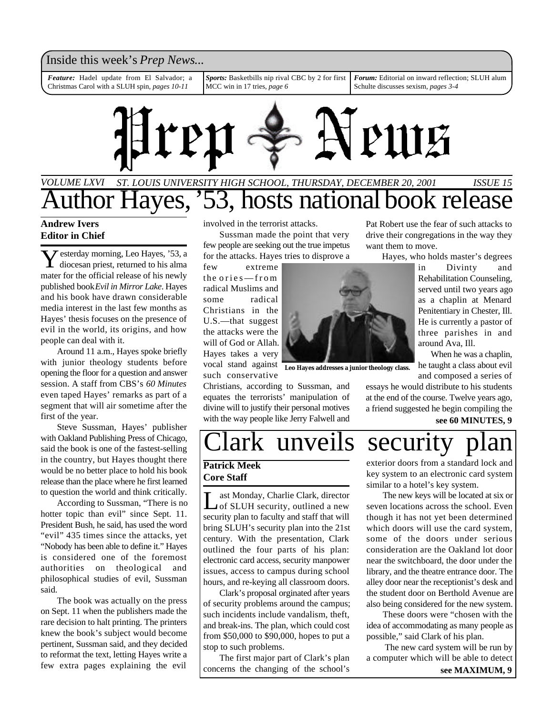## Inside this week's *Prep News*...

*Feature:* Hadel update from El Salvador; a Christmas Carol with a SLUH spin, *pages 10-11*

*Sports:* Basketbills nip rival CBC by 2 for first MCC win in 17 tries, *page 6*

*Forum:* Editorial on inward reflection; SLUH alum Schulte discusses sexism, *pages 3-4*



## *VOLUME LXVI ST. LOUIS UNIVERSITY HIGH SCHOOL, THURSDAY, DECEMBER 20, 2001 ISSUE 15* uthor Hayes, '53, hosts national book release

### **Andrew Ivers Editor in Chief**

Y diocesan priest, returned to his alma  $\bar{z}$  esterday morning, Leo Hayes, '53, a mater for the official release of his newly published book *Evil in Mirror Lake*. Hayes and his book have drawn considerable media interest in the last few months as Hayes' thesis focuses on the presence of evil in the world, its origins, and how people can deal with it.

Around 11 a.m., Hayes spoke briefly with junior theology students before opening the floor for a question and answer session. A staff from CBS's *60 Minutes* even taped Hayes' remarks as part of a segment that will air sometime after the first of the year.

Steve Sussman, Hayes' publisher with Oakland Publishing Press of Chicago, said the book is one of the fastest-selling in the country, but Hayes thought there would be no better place to hold his book release than the place where he first learned to question the world and think critically.

According to Sussman, "There is no hotter topic than evil" since Sept. 11. President Bush, he said, has used the word "evil" 435 times since the attacks, yet "Nobody has been able to define it." Hayes is considered one of the foremost authorities on theological and philosophical studies of evil, Sussman said.

The book was actually on the press on Sept. 11 when the publishers made the rare decision to halt printing. The printers knew the book's subject would become pertinent, Sussman said, and they decided to reformat the text, letting Hayes write a few extra pages explaining the evil

involved in the terrorist attacks.

Sussman made the point that very few people are seeking out the true impetus for the attacks. Hayes tries to disprove a

few extreme the ories—from radical Muslims and some radical Christians in the U.S.—that suggest the attacks were the will of God or Allah. Hayes takes a very vocal stand against **Leo Hayes addresses a junior theology class.** such conservative

Christians, according to Sussman, and equates the terrorists' manipulation of divine will to justify their personal motives with the way people like Jerry Falwell and Pat Robert use the fear of such attacks to drive their congregations in the way they want them to move.

Hayes, who holds master's degrees

in Divinty and Rehabilitation Counseling, served until two years ago as a chaplin at Menard Penitentiary in Chester, Ill. He is currently a pastor of three parishes in and around Ava, Ill.

When he was a chaplin, he taught a class about evil and composed a series of

essays he would distribute to his students at the end of the course. Twelve years ago, a friend suggested he begin compiling the

**see 60 MINUTES, 9**

# ark unveils security

## **Patrick Meek Core Staff**

Let Monday, Charlie Clark, director<br>
of SLUH security, outlined a new ast Monday, Charlie Clark, director security plan to faculty and staff that will bring SLUH's security plan into the 21st century. With the presentation, Clark outlined the four parts of his plan: electronic card access, security manpower issues, access to campus during school hours, and re-keying all classroom doors.

Clark's proposal orginated after years of security problems around the campus; such incidents include vandalism, theft, and break-ins. The plan, which could cost from \$50,000 to \$90,000, hopes to put a stop to such problems.

The first major part of Clark's plan concerns the changing of the school's exterior doors from a standard lock and key system to an electronic card system similar to a hotel's key system.

The new keys will be located at six or seven locations across the school. Even though it has not yet been determined which doors will use the card system, some of the doors under serious consideration are the Oakland lot door near the switchboard, the door under the library, and the theatre entrance door. The alley door near the receptionist's desk and the student door on Berthold Avenue are also being considered for the new system.

These doors were "chosen with the idea of accommodating as many people as possible," said Clark of his plan.

 The new card system will be run by a computer which will be able to detect **see MAXIMUM, 9**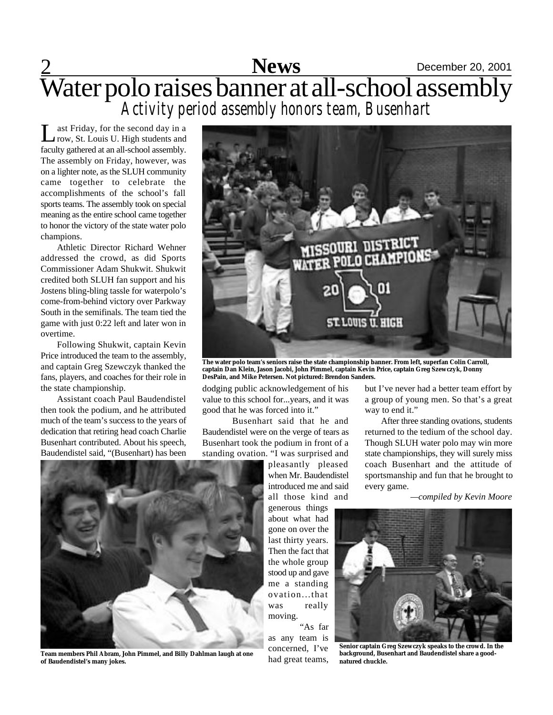## 2 **Sports** December 20, 2001 Water polo raises banner at all-school assembly **News** *Activity period assembly honors team, Busenhart*

 $\prod_{\alpha}$ ast Friday, for the second day in a row, St. Louis U. High students and faculty gathered at an all-school assembly. The assembly on Friday, however, was on a lighter note, as the SLUH community came together to celebrate the accomplishments of the school's fall sports teams. The assembly took on special meaning as the entire school came together to honor the victory of the state water polo champions.

Athletic Director Richard Wehner addressed the crowd, as did Sports Commissioner Adam Shukwit. Shukwit credited both SLUH fan support and his Jostens bling-bling tassle for waterpolo's come-from-behind victory over Parkway South in the semifinals. The team tied the game with just 0:22 left and later won in overtime.

Following Shukwit, captain Kevin Price introduced the team to the assembly, and captain Greg Szewczyk thanked the fans, players, and coaches for their role in the state championship.

Assistant coach Paul Baudendistel then took the podium, and he attributed much of the team's success to the years of dedication that retiring head coach Charlie Busenhart contributed. About his speech, Baudendistel said, "(Busenhart) has been



**The water polo team's seniors raise the state championship banner. From left, superfan Colin Carroll, captain Dan Klein, Jason Jacobi, John Pimmel, captain Kevin Price, captain Greg Szewczyk, Donny DesPain, and Mike Petersen. Not pictured: Brendon Sanders.**

dodging public acknowledgement of his value to this school for...years, and it was good that he was forced into it."

Busenhart said that he and Baudendistel were on the verge of tears as Busenhart took the podium in front of a standing ovation. "I was surprised and

pleasantly pleased when Mr. Baudendistel introduced me and said all those kind and generous things about what had gone on over the last thirty years. Then the fact that the whole group stood up and gave me a standing ovation...that was really moving.

"As far as any team is concerned, I've had great teams,

but I've never had a better team effort by a group of young men. So that's a great way to end it."

After three standing ovations, students returned to the tedium of the school day. Though SLUH water polo may win more state championships, they will surely miss coach Busenhart and the attitude of sportsmanship and fun that he brought to every game.

*—compiled by Kevin Moore*



**Senior captain Greg Szewczyk speaks to the crowd. In the background, Busenhart and Baudendistel share a goodnatured chuckle.**



**Team members Phil Abram, John Pimmel, and Billy Dahlman laugh at one of Baudendistel's many jokes.**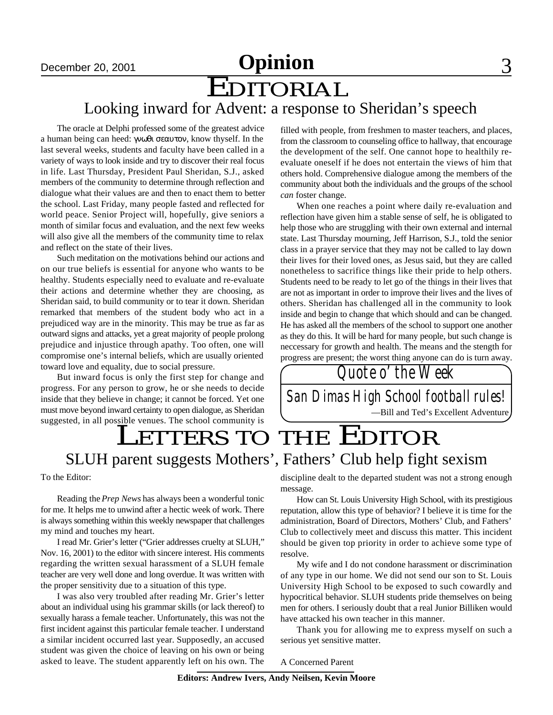## December 20, 2001 **Spritter 3 Opinion**

# EDITORIAL

## Looking inward for Advent: a response to Sheridan's speech

The oracle at Delphi professed some of the greatest advice a human being can heed: , know thyself. In the last several weeks, students and faculty have been called in a variety of ways to look inside and try to discover their real focus in life. Last Thursday, President Paul Sheridan, S.J., asked members of the community to determine through reflection and dialogue what their values are and then to enact them to better the school. Last Friday, many people fasted and reflected for world peace. Senior Project will, hopefully, give seniors a month of similar focus and evaluation, and the next few weeks will also give all the members of the community time to relax and reflect on the state of their lives.

Such meditation on the motivations behind our actions and on our true beliefs is essential for anyone who wants to be healthy. Students especially need to evaluate and re-evaluate their actions and determine whether they are choosing, as Sheridan said, to build community or to tear it down. Sheridan remarked that members of the student body who act in a prejudiced way are in the minority. This may be true as far as outward signs and attacks, yet a great majority of people prolong prejudice and injustice through apathy. Too often, one will compromise one's internal beliefs, which are usually oriented toward love and equality, due to social pressure.

But inward focus is only the first step for change and progress. For any person to grow, he or she needs to decide inside that they believe in change; it cannot be forced. Yet one must move beyond inward certainty to open dialogue, as Sheridan suggested, in all possible venues. The school community is

filled with people, from freshmen to master teachers, and places, from the classroom to counseling office to hallway, that encourage the development of the self. One cannot hope to healthily reevaluate oneself if he does not entertain the views of him that others hold. Comprehensive dialogue among the members of the community about both the individuals and the groups of the school *can* foster change.

When one reaches a point where daily re-evaluation and reflection have given him a stable sense of self, he is obligated to help those who are struggling with their own external and internal state. Last Thursday mourning, Jeff Harrison, S.J., told the senior class in a prayer service that they may not be called to lay down their lives for their loved ones, as Jesus said, but they are called nonetheless to sacrifice things like their pride to help others. Students need to be ready to let go of the things in their lives that are not as important in order to improve their lives and the lives of others. Sheridan has challenged all in the community to look inside and begin to change that which should and can be changed. He has asked all the members of the school to support one another as they do this. It will be hard for many people, but such change is neccessary for growth and health. The means and the stength for progress are present; the worst thing anyone can do is turn away.

*San Dimas High School football rules! Quote o' the Week* —Bill and Ted's Excellent Adventure

# LETTERS TO THE EDITOR SLUH parent suggests Mothers', Fathers' Club help fight sexism

To the Editor:

Reading the *Prep News* has always been a wonderful tonic for me. It helps me to unwind after a hectic week of work. There is always something within this weekly newspaper that challenges my mind and touches my heart.

I read Mr. Grier's letter ("Grier addresses cruelty at SLUH," Nov. 16, 2001) to the editor with sincere interest. His comments regarding the written sexual harassment of a SLUH female teacher are very well done and long overdue. It was written with the proper sensitivity due to a situation of this type.

I was also very troubled after reading Mr. Grier's letter about an individual using his grammar skills (or lack thereof) to sexually harass a female teacher. Unfortunately, this was not the first incident against this particular female teacher. I understand a similar incident occurred last year. Supposedly, an accused student was given the choice of leaving on his own or being asked to leave. The student apparently left on his own. The

discipline dealt to the departed student was not a strong enough message.

How can St. Louis University High School, with its prestigious reputation, allow this type of behavior? I believe it is time for the administration, Board of Directors, Mothers' Club, and Fathers' Club to collectively meet and discuss this matter. This incident should be given top priority in order to achieve some type of resolve.

My wife and I do not condone harassment or discrimination of any type in our home. We did not send our son to St. Louis University High School to be exposed to such cowardly and hypocritical behavior. SLUH students pride themselves on being men for others. I seriously doubt that a real Junior Billiken would have attacked his own teacher in this manner.

Thank you for allowing me to express myself on such a serious yet sensitive matter.

A Concerned Parent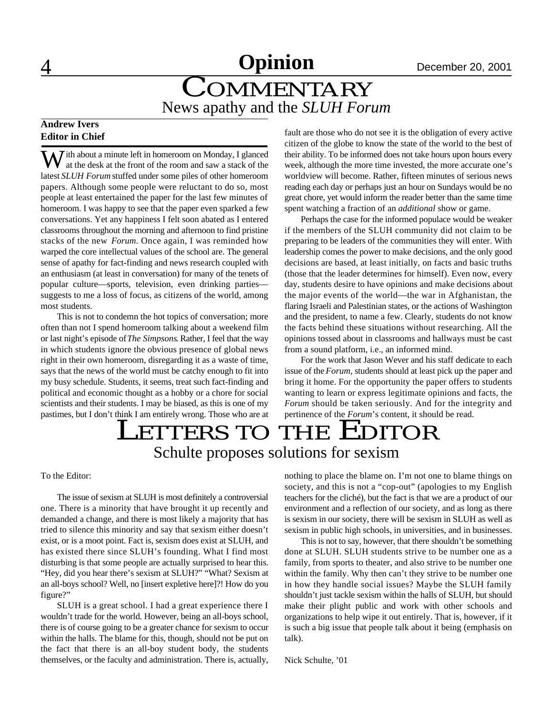# **A** December 20, 2001

## **COMMENTARY** News apathy and the *SLUH Forum*

## **Andrew Ivers Editor in Chief**

 $\sum$  *i*th about a minute left in homeroom on Monday, I glanced at the desk at the front of the room and saw a stack of the latest *SLUH Forum* stuffed under some piles of other homeroom papers. Although some people were reluctant to do so, most people at least entertained the paper for the last few minutes of homeroom. I was happy to see that the paper even sparked a few conversations. Yet any happiness I felt soon abated as I entered classrooms throughout the morning and afternoon to find pristine stacks of the new *Forum*. Once again, I was reminded how warped the core intellectual values of the school are. The general sense of apathy for fact-finding and news research coupled with an enthusiasm (at least in conversation) for many of the tenets of popular culture—sports, television, even drinking parties suggests to me a loss of focus, as citizens of the world, among most students.

This is not to condemn the hot topics of conversation; more often than not I spend homeroom talking about a weekend film or last night's episode of *The Simpsons*. Rather, I feel that the way in which students ignore the obvious presence of global news right in their own homeroom, disregarding it as a waste of time, says that the news of the world must be catchy enough to fit into my busy schedule. Students, it seems, treat such fact-finding and political and economic thought as a hobby or a chore for social scientists and their students. I may be biased, as this is one of my pastimes, but I don't think I am entirely wrong. Those who are at fault are those who do not see it is the obligation of every active citizen of the globe to know the state of the world to the best of their ability. To be informed does not take hours upon hours every week, although the more time invested, the more accurate one's worldview will become. Rather, fifteen minutes of serious news reading each day or perhaps just an hour on Sundays would be no great chore, yet would inform the reader better than the same time spent watching a fraction of an *additional* show or game.

Perhaps the case for the informed populace would be weaker if the members of the SLUH community did not claim to be preparing to be leaders of the communities they will enter. With leadership comes the power to make decisions, and the only good decisions are based, at least initially, on facts and basic truths (those that the leader determines for himself). Even now, every day, students desire to have opinions and make decisions about the major events of the world—the war in Afghanistan, the flaring Israeli and Palestinian states, or the actions of Washington and the president, to name a few. Clearly, students do not know the facts behind these situations without researching. All the opinions tossed about in classrooms and hallways must be cast from a sound platform, i.e., an informed mind.

For the work that Jason Wever and his staff dedicate to each issue of the *Forum*, students should at least pick up the paper and bring it home. For the opportunity the paper offers to students wanting to learn or express legitimate opinions and facts, the *Forum* should be taken seriously. And for the integrity and pertinence of the *Forum*'s content, it should be read.

## LETTERS TO THE EDITOR Schulte proposes solutions for sexism

To the Editor:

The issue of sexism at SLUH is most definitely a controversial one. There is a minority that have brought it up recently and demanded a change, and there is most likely a majority that has tried to silence this minority and say that sexism either doesn't exist, or is a moot point. Fact is, sexism does exist at SLUH, and has existed there since SLUH's founding. What I find most disturbing is that some people are actually surprised to hear this. "Hey, did you hear there's sexism at SLUH?" "What? Sexism at an all-boys school? Well, no [insert expletive here]?! How do you figure?"

SLUH is a great school. I had a great experience there I wouldn't trade for the world. However, being an all-boys school, there is of course going to be a greater chance for sexism to occur within the halls. The blame for this, though, should not be put on the fact that there is an all-boy student body, the students themselves, or the faculty and administration. There is, actually, nothing to place the blame on. I'm not one to blame things on society, and this is not a "cop-out" (apologies to my English teachers for the cliché), but the fact is that we are a product of our environment and a reflection of our society, and as long as there is sexism in our society, there will be sexism in SLUH as well as sexism in public high schools, in universities, and in businesses.

This is not to say, however, that there shouldn't be something done at SLUH. SLUH students strive to be number one as a family, from sports to theater, and also strive to be number one within the family. Why then can't they strive to be number one in how they handle social issues? Maybe the SLUH family shouldn't just tackle sexism within the halls of SLUH, but should make their plight public and work with other schools and organizations to help wipe it out entirely. That is, however, if it is such a big issue that people talk about it being (emphasis on talk).

Nick Schulte, '01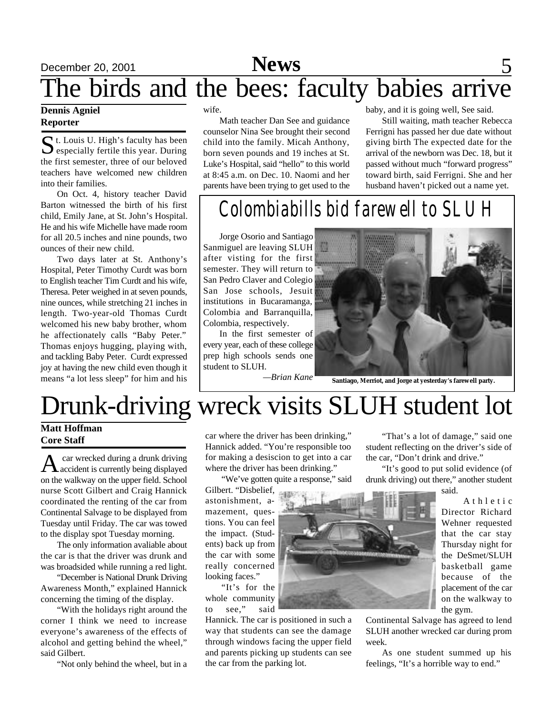### **Dennis Agniel Reporter**

St. Louis U. High's faculty has been<br>especially fertile this year. During  $\sum$  especially fertile this year. During the first semester, three of our beloved teachers have welcomed new children into their families.

On Oct. 4, history teacher David Barton witnessed the birth of his first child, Emily Jane, at St. John's Hospital. He and his wife Michelle have made room for all 20.5 inches and nine pounds, two ounces of their new child.

Two days later at St. Anthony's Hospital, Peter Timothy Curdt was born to English teacher Tim Curdt and his wife, Theresa. Peter weighed in at seven pounds, nine ounces, while stretching 21 inches in length. Two-year-old Thomas Curdt welcomed his new baby brother, whom he affectionately calls "Baby Peter." Thomas enjoys hugging, playing with, and tackling Baby Peter. Curdt expressed joy at having the new child even though it means "a lot less sleep" for him and his wife.

Math teacher Dan See and guidance counselor Nina See brought their second child into the family. Micah Anthony, born seven pounds and 19 inches at St. Luke's Hospital, said "hello" to this world at 8:45 a.m. on Dec. 10. Naomi and her parents have been trying to get used to the baby, and it is going well, See said.

Still waiting, math teacher Rebecca Ferrigni has passed her due date without giving birth The expected date for the arrival of the newborn was Dec. 18, but it passed without much "forward progress" toward birth, said Ferrigni. She and her husband haven't picked out a name yet.

# *Colombiabills bid farewell to SLUH*

Jorge Osorio and Santiago Sanmiguel are leaving SLUH after visting for the first semester. They will return to San Pedro Claver and Colegio San Jose schools, Jesuit institutions in Bucaramanga, Colombia and Barranquilla, Colombia, respectively.

In the first semester of every year, each of these college prep high schools sends one student to SLUH.

*—Brian Kane* **Santiago, Merriot, and Jorge at yesterday's farewell party.**

# Drunk-driving wreck visits SLUH student lot

## **Matt Hoffman Core Staff**

A accident is currently being displayed car wrecked during a drunk driving on the walkway on the upper field. School nurse Scott Gilbert and Craig Hannick coordinated the renting of the car from Continental Salvage to be displayed from Tuesday until Friday. The car was towed to the display spot Tuesday morning.

The only information avaliable about the car is that the driver was drunk and was broadsided while running a red light.

"December is National Drunk Driving Awareness Month," explained Hannick concerning the timing of the display.

"With the holidays right around the corner I think we need to increase everyone's awareness of the effects of alcohol and getting behind the wheel," said Gilbert.

"Not only behind the wheel, but in a

car where the driver has been drinking," Hannick added. "You're responsible too for making a desiscion to get into a car where the driver has been drinking."

"We've gotten quite a response," said

Gilbert. "Disbelief, astonishment, amazement, questions. You can feel the impact. (Students) back up from the car with some really concerned looking faces."

"It's for the whole community to see," said

Hannick. The car is positioned in such a way that students can see the damage through windows facing the upper field and parents picking up students can see the car from the parking lot.



"That's a lot of damage," said one student reflecting on the driver's side of the car, "Don't drink and drive."

"It's good to put solid evidence (of drunk driving) out there," another student said.

> A t h l e t i c Director Richard Wehner requested that the car stay Thursday night for the DeSmet/SLUH basketball game because of the placement of the car on the walkway to the gym.

Continental Salvage has agreed to lend SLUH another wrecked car during prom week.

As one student summed up his feelings, "It's a horrible way to end."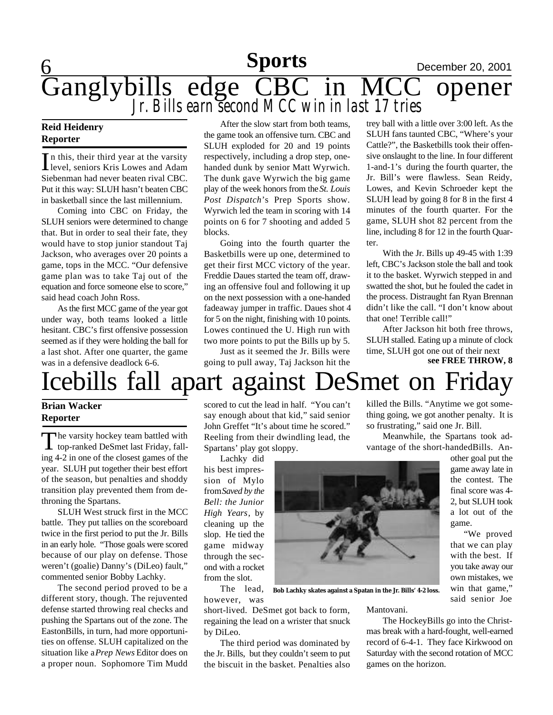**6 Sports December 20, 2001 Sports**

## Ganglybills edge CBC in MCC opener *Jr. Bills earn second MCC win in last 17 tries*

### **Reid Heidenry Reporter**

In this, their third year at the varsity<br>level, seniors Kris Lowes and Adam level, seniors Kris Lowes and Adam Siebenman had never beaten rival CBC. Put it this way: SLUH hasn't beaten CBC in basketball since the last millennium.

Coming into CBC on Friday, the SLUH seniors were determined to change that. But in order to seal their fate, they would have to stop junior standout Taj Jackson, who averages over 20 points a game, tops in the MCC. "Our defensive game plan was to take Taj out of the equation and force someone else to score," said head coach John Ross.

As the first MCC game of the year got under way, both teams looked a little hesitant. CBC's first offensive possession seemed as if they were holding the ball for a last shot. After one quarter, the game was in a defensive deadlock 6-6.

After the slow start from both teams, the game took an offensive turn. CBC and SLUH exploded for 20 and 19 points respectively, including a drop step, onehanded dunk by senior Matt Wyrwich. The dunk gave Wyrwich the big game play of the week honors from the *St. Louis Post Dispatch*'s Prep Sports show. Wyrwich led the team in scoring with 14 points on 6 for 7 shooting and added 5 blocks.

Going into the fourth quarter the Basketbills were up one, determined to get their first MCC victory of the year. Freddie Daues started the team off, drawing an offensive foul and following it up on the next possession with a one-handed fadeaway jumper in traffic. Daues shot 4 for 5 on the night, finishing with 10 points. Lowes continued the U. High run with two more points to put the Bills up by 5.

Just as it seemed the Jr. Bills were going to pull away, Taj Jackson hit the trey ball with a little over 3:00 left. As the SLUH fans taunted CBC, "Where's your Cattle?", the Basketbills took their offensive onslaught to the line. In four different 1-and-1's during the fourth quarter, the Jr. Bill's were flawless. Sean Reidy, Lowes, and Kevin Schroeder kept the SLUH lead by going 8 for 8 in the first 4 minutes of the fourth quarter. For the game, SLUH shot 82 percent from the line, including 8 for 12 in the fourth Quarter.

With the Jr. Bills up 49-45 with 1:39 left, CBC's Jackson stole the ball and took it to the basket. Wyrwich stepped in and swatted the shot, but he fouled the cadet in the process. Distraught fan Ryan Brennan didn't like the call. "I don't know about that one! Terrible call!"

After Jackson hit both free throws, SLUH stalled. Eating up a minute of clock time, SLUH got one out of their next **see FREE THROW, 8**

# Icebills fall apart against DeSmet on Friday

## **Brian Wacker Reporter**

The varsity hockey team battled with<br>top-ranked DeSmet last Friday, fall- $\n **The** varsity hockey team battled with\n$ ing 4-2 in one of the closest games of the year. SLUH put together their best effort of the season, but penalties and shoddy transition play prevented them from dethroning the Spartans.

SLUH West struck first in the MCC battle. They put tallies on the scoreboard twice in the first period to put the Jr. Bills in an early hole. "Those goals were scored because of our play on defense. Those weren't (goalie) Danny's (DiLeo) fault," commented senior Bobby Lachky.

The second period proved to be a different story, though. The rejuvented defense started throwing real checks and pushing the Spartans out of the zone. The EastonBills, in turn, had more opportunities on offense. SLUH capitalized on the situation like a *Prep News* Editor does on a proper noun. Sophomore Tim Mudd

scored to cut the lead in half. "You can't say enough about that kid," said senior John Greffet "It's about time he scored." Reeling from their dwindling lead, the Spartans' play got sloppy.

Lachky did

his best impression of Mylo from *Saved by the Bell: the Junior High Years*, by cleaning up the slop. He tied the game midway through the second with a rocket from the slot.

The lead, however, was

short-lived. DeSmet got back to form, regaining the lead on a wrister that snuck by DiLeo.

The third period was dominated by the Jr. Bills, but they couldn't seem to put the biscuit in the basket. Penalties also

killed the Bills. "Anytime we got something going, we got another penalty. It is so frustrating," said one Jr. Bill.

Meanwhile, the Spartans took advantage of the short-handedBills. An-

other goal put the game away late in the contest. The final score was 4- 2, but SLUH took a lot out of the game.

"We proved that we can play with the best. If you take away our own mistakes, we win that game," said senior Joe

**Bob Lachky skates against a Spatan in the Jr. Bills' 4-2 loss.**

Mantovani.

The HockeyBills go into the Christmas break with a hard-fought, well-earned record of 6-4-1. They face Kirkwood on Saturday with the second rotation of MCC games on the horizon.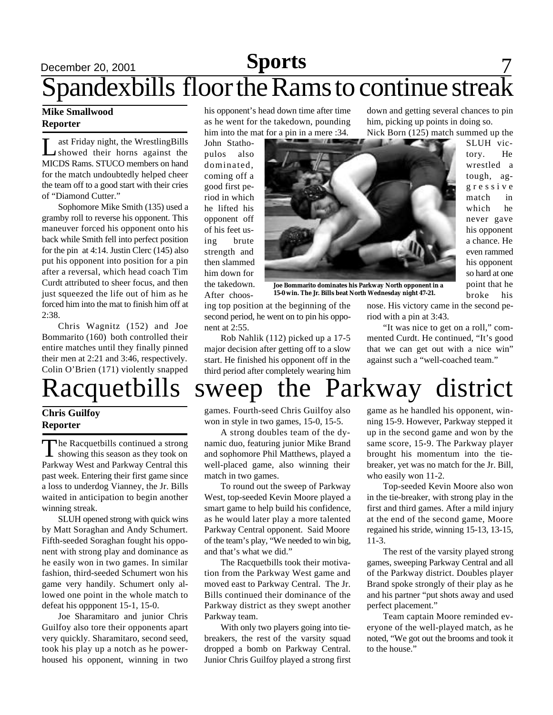## **December 20, 2001 Sports** 7 Spandexbills floor the Rams to continue streak **Sports**

## **Mike Smallwood Reporter**

 $\prod_{\alpha\in\mathbb{Z}}$ ast Friday night, the WrestlingBills showed their horns against the MICDS Rams. STUCO members on hand for the match undoubtedly helped cheer the team off to a good start with their cries of "Diamond Cutter."

Sophomore Mike Smith (135) used a gramby roll to reverse his opponent. This maneuver forced his opponent onto his back while Smith fell into perfect position for the pin at 4:14. Justin Clerc (145) also put his opponent into position for a pin after a reversal, which head coach Tim Curdt attributed to sheer focus, and then just squeezed the life out of him as he forced him into the mat to finish him off at 2:38.

Chris Wagnitz (152) and Joe Bommarito (160) both controlled their entire matches until they finally pinned their men at 2:21 and 3:46, respectively. Colin O'Brien (171) violently snapped

## **Chris Guilfoy Reporter**

The Racquetbills continued a strong<br>showing this season as they took on he Racquetbills continued a strong Parkway West and Parkway Central this past week. Entering their first game since a loss to underdog Vianney, the Jr. Bills waited in anticipation to begin another winning streak.

SLUH opened strong with quick wins by Matt Soraghan and Andy Schumert. Fifth-seeded Soraghan fought his opponent with strong play and dominance as he easily won in two games. In similar fashion, third-seeded Schumert won his game very handily. Schumert only allowed one point in the whole match to defeat his oppponent 15-1, 15-0.

Joe Sharamitaro and junior Chris Guilfoy also tore their opponents apart very quickly. Sharamitaro, second seed, took his play up a notch as he powerhoused his opponent, winning in two

his opponent's head down time after time as he went for the takedown, pounding him into the mat for a pin in a mere :34.

John Stathopulos also dominated, coming off a good first period in which he lifted his opponent off of his feet using brute strength and then slammed him down for the takedown. After choos-



**Joe Bommarito dominates his Parkway North opponent in a 15-0 win. The Jr. Bills beat North Wednesday night 47-21.**

ing top position at the beginning of the second period, he went on to pin his opponent at 2:55.

Rob Nahlik (112) picked up a 17-5 major decision after getting off to a slow start. He finished his opponent off in the third period after completely wearing him nose. His victory came in the second period with a pin at 3:43.

mented Curdt. He continued, "It's good that we can get out with a nice win" against such a "well-coached team."

# "It was nice to get on a roll," com-

Racquetbills sweep the Parkway district

games. Fourth-seed Chris Guilfoy also won in style in two games, 15-0, 15-5.

A strong doubles team of the dynamic duo, featuring junior Mike Brand and sophomore Phil Matthews, played a well-placed game, also winning their match in two games.

To round out the sweep of Parkway West, top-seeded Kevin Moore played a smart game to help build his confidence, as he would later play a more talented Parkway Central opponent. Said Moore of the team's play, "We needed to win big, and that's what we did."

The Racquetbills took their motivation from the Parkway West game and moved east to Parkway Central. The Jr. Bills continued their dominance of the Parkway district as they swept another Parkway team.

With only two players going into tiebreakers, the rest of the varsity squad dropped a bomb on Parkway Central. Junior Chris Guilfoy played a strong first

game as he handled his opponent, winning 15-9. However, Parkway stepped it up in the second game and won by the same score, 15-9. The Parkway player brought his momentum into the tiebreaker, yet was no match for the Jr. Bill, who easily won 11-2.

Top-seeded Kevin Moore also won in the tie-breaker, with strong play in the first and third games. After a mild injury at the end of the second game, Moore regained his stride, winning 15-13, 13-15, 11-3.

The rest of the varsity played strong games, sweeping Parkway Central and all of the Parkway district. Doubles player Brand spoke strongly of their play as he and his partner "put shots away and used perfect placement."

Team captain Moore reminded everyone of the well-played match, as he noted, "We got out the brooms and took it to the house."

down and getting several chances to pin him, picking up points in doing so. Nick Born (125) match summed up the

> SLUH victory. He wrestled a tough, agg r e s s i v e match in which he never gave his opponent a chance. He even rammed his opponent so hard at one point that he broke his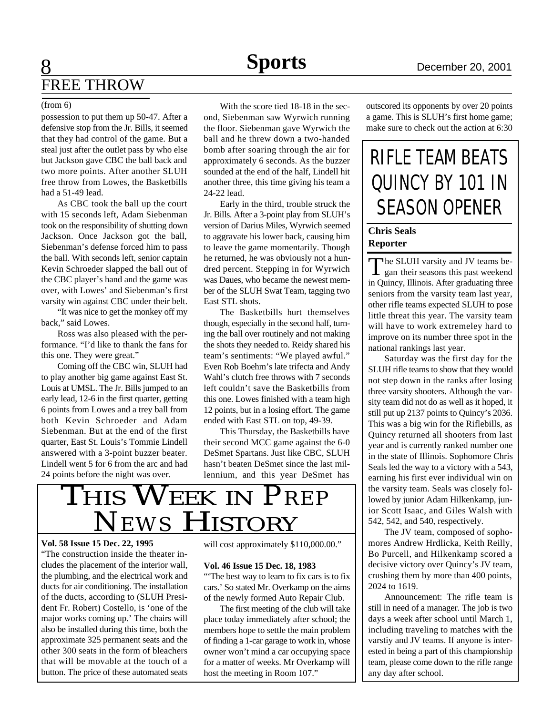## 8 **Sports** December 20, 2001 FREE THROW

### (from 6)

possession to put them up 50-47. After a defensive stop from the Jr. Bills, it seemed that they had control of the game. But a steal just after the outlet pass by who else but Jackson gave CBC the ball back and two more points. After another SLUH free throw from Lowes, the Basketbills had a 51-49 lead.

As CBC took the ball up the court with 15 seconds left, Adam Siebenman took on the responsibility of shutting down Jackson. Once Jackson got the ball, Siebenman's defense forced him to pass the ball. With seconds left, senior captain Kevin Schroeder slapped the ball out of the CBC player's hand and the game was over, with Lowes' and Siebenman's first varsity win against CBC under their belt.

"It was nice to get the monkey off my back," said Lowes.

Ross was also pleased with the performance. "I'd like to thank the fans for this one. They were great."

Coming off the CBC win, SLUH had to play another big game against East St. Louis at UMSL. The Jr. Bills jumped to an early lead, 12-6 in the first quarter, getting 6 points from Lowes and a trey ball from both Kevin Schroeder and Adam Siebenman. But at the end of the first quarter, East St. Louis's Tommie Lindell answered with a 3-point buzzer beater. Lindell went 5 for 6 from the arc and had 24 points before the night was over.

With the score tied 18-18 in the second, Siebenman saw Wyrwich running the floor. Siebenman gave Wyrwich the ball and he threw down a two-handed bomb after soaring through the air for approximately 6 seconds. As the buzzer sounded at the end of the half, Lindell hit another three, this time giving his team a 24-22 lead.

Early in the third, trouble struck the Jr. Bills. After a 3-point play from SLUH's version of Darius Miles, Wyrwich seemed to aggravate his lower back, causing him to leave the game momentarily. Though he returned, he was obviously not a hundred percent. Stepping in for Wyrwich was Daues, who became the newest member of the SLUH Swat Team, tagging two East STL shots.

The Basketbills hurt themselves though, especially in the second half, turning the ball over routinely and not making the shots they needed to. Reidy shared his team's sentiments: "We played awful." Even Rob Boehm's late trifecta and Andy Wahl's clutch free throws with 7 seconds left couldn't save the Basketbills from this one. Lowes finished with a team high 12 points, but in a losing effort. The game ended with East STL on top, 49-39.

This Thursday, the Basketbills have their second MCC game against the 6-0 DeSmet Spartans. Just like CBC, SLUH hasn't beaten DeSmet since the last millennium, and this year DeSmet has



### **Vol. 58 Issue 15 Dec. 22, 1995**

"The construction inside the theater includes the placement of the interior wall, the plumbing, and the electrical work and ducts for air conditioning. The installation of the ducts, according to (SLUH President Fr. Robert) Costello, is 'one of the major works coming up.' The chairs will also be installed during this time, both the approximate 325 permanent seats and the other 300 seats in the form of bleachers that will be movable at the touch of a button. The price of these automated seats

will cost approximately \$110,000.00."

### **Vol. 46 Issue 15 Dec. 18, 1983**

"The best way to learn to fix cars is to fix cars.' So stated Mr. Overkamp on the aims of the newly formed Auto Repair Club.

The first meeting of the club will take place today immediately after school; the members hope to settle the main problem of finding a 1-car garage to work in, whose owner won't mind a car occupying space for a matter of weeks. Mr Overkamp will host the meeting in Room 107."

outscored its opponents by over 20 points a game. This is SLUH's first home game; make sure to check out the action at 6:30

# RIFLE TEAM BEATS QUINCY BY 101 IN SEASON OPENER

## **Chris Seals Reporter**

The SLUH varsity and JV teams be-<br>gan their seasons this past weekend gan their seasons this past weekend in Quincy, Illinois. After graduating three seniors from the varsity team last year, other rifle teams expected SLUH to pose little threat this year. The varsity team will have to work extremeley hard to improve on its number three spot in the national rankings last year.

Saturday was the first day for the SLUH rifle teams to show that they would not step down in the ranks after losing three varsity shooters. Although the varsity team did not do as well as it hoped, it still put up 2137 points to Quincy's 2036. This was a big win for the Riflebills, as Quincy returned all shooters from last year and is currently ranked number one in the state of Illinois. Sophomore Chris Seals led the way to a victory with a 543, earning his first ever individual win on the varsity team. Seals was closely followed by junior Adam Hilkenkamp, junior Scott Isaac, and Giles Walsh with 542, 542, and 540, respectively.

The JV team, composed of sophomores Andrew Hrdlicka, Keith Reilly, Bo Purcell, and Hilkenkamp scored a decisive victory over Quincy's JV team, crushing them by more than 400 points, 2024 to 1619.

Announcement: The rifle team is still in need of a manager. The job is two days a week after school until March 1, including traveling to matches with the varstiy and JV teams. If anyone is interested in being a part of this championship team, please come down to the rifle range any day after school.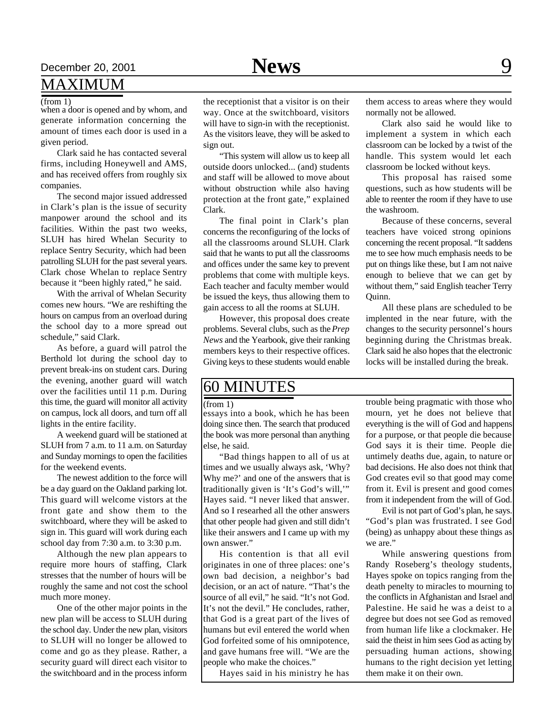# December 20, 2001 **Space 20, 2001 Space 20, 2001**

## MAXIMUM

(from 1)

when a door is opened and by whom, and generate information concerning the amount of times each door is used in a given period.

Clark said he has contacted several firms, including Honeywell and AMS, and has received offers from roughly six companies.

The second major issued addressed in Clark's plan is the issue of security manpower around the school and its facilities. Within the past two weeks, SLUH has hired Whelan Security to replace Sentry Security, which had been patrolling SLUH for the past several years. Clark chose Whelan to replace Sentry because it "been highly rated," he said.

With the arrival of Whelan Security comes new hours. "We are reshifting the hours on campus from an overload during the school day to a more spread out schedule," said Clark.

As before, a guard will patrol the Berthold lot during the school day to prevent break-ins on student cars. During the evening, another guard will watch over the facilities until 11 p.m. During this time, the guard will monitor all activity on campus, lock all doors, and turn off all lights in the entire facility.

A weekend guard will be stationed at SLUH from 7 a.m. to 11 a.m. on Saturday and Sunday mornings to open the facilities for the weekend events.

The newest addition to the force will be a day guard on the Oakland parking lot. This guard will welcome vistors at the front gate and show them to the switchboard, where they will be asked to sign in. This guard will work during each school day from 7:30 a.m. to 3:30 p.m.

Although the new plan appears to require more hours of staffing, Clark stresses that the number of hours will be roughly the same and not cost the school much more money.

One of the other major points in the new plan will be access to SLUH during the school day. Under the new plan, visitors to SLUH will no longer be allowed to come and go as they please. Rather, a security guard will direct each visitor to the switchboard and in the process inform

the receptionist that a visitor is on their way. Once at the switchboard, visitors will have to sign-in with the receptionist. As the visitors leave, they will be asked to sign out.

"This system will allow us to keep all outside doors unlocked... (and) students and staff will be allowed to move about without obstruction while also having protection at the front gate," explained Clark.

The final point in Clark's plan concerns the reconfiguring of the locks of all the classrooms around SLUH. Clark said that he wants to put all the classrooms and offices under the same key to prevent problems that come with multiple keys. Each teacher and faculty member would be issued the keys, thus allowing them to gain access to all the rooms at SLUH.

However, this proposal does create problems. Several clubs, such as the *Prep News* and the Yearbook, give their ranking members keys to their respective offices. Giving keys to these students would enable

them access to areas where they would normally not be allowed.

Clark also said he would like to implement a system in which each classroom can be locked by a twist of the handle. This system would let each classroom be locked without keys.

This proposal has raised some questions, such as how students will be able to reenter the room if they have to use the washroom.

Because of these concerns, several teachers have voiced strong opinions concerning the recent proposal. "It saddens me to see how much emphasis needs to be put on things like these, but I am not naive enough to believe that we can get by without them," said English teacher Terry Quinn.

All these plans are scheduled to be implented in the near future, with the changes to the security personnel's hours beginning during the Christmas break. Clark said he also hopes that the electronic locks will be installed during the break.

## 60 MINUTES

### (from 1)

essays into a book, which he has been doing since then. The search that produced the book was more personal than anything else, he said.

"Bad things happen to all of us at times and we usually always ask, 'Why? Why me?' and one of the answers that is traditionally given is 'It's God's will,'" Hayes said. "I never liked that answer. And so I researhed all the other answers that other people had given and still didn't like their answers and I came up with my own answer."

His contention is that all evil originates in one of three places: one's own bad decision, a neighbor's bad decision, or an act of nature. "That's the source of all evil," he said. "It's not God. It's not the devil." He concludes, rather, that God is a great part of the lives of humans but evil entered the world when God forfeited some of his omnipotence, and gave humans free will. "We are the people who make the choices."

Hayes said in his ministry he has

trouble being pragmatic with those who mourn, yet he does not believe that everything is the will of God and happens for a purpose, or that people die because God says it is their time. People die untimely deaths due, again, to nature or bad decisions. He also does not think that God creates evil so that good may come from it. Evil is present and good comes from it independent from the will of God.

Evil is not part of God's plan, he says. "God's plan was frustrated. I see God (being) as unhappy about these things as we are."

While answering questions from Randy Roseberg's theology students, Hayes spoke on topics ranging from the death penelty to miracles to mourning to the conflicts in Afghanistan and Israel and Palestine. He said he was a deist to a degree but does not see God as removed from human life like a clockmaker. He said the theist in him sees God as acting by persuading human actions, showing humans to the right decision yet letting them make it on their own.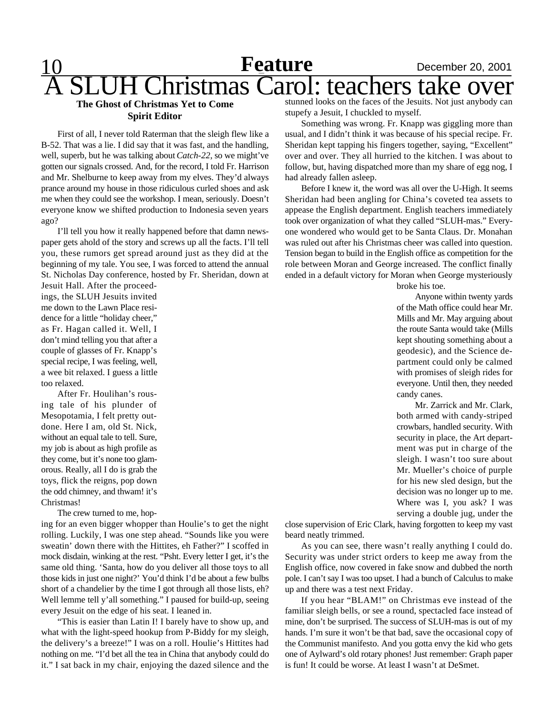10 **Feature** December 20, 2001 **Feature** Christmas Carol: teachers take over

### **The Ghost of Christmas Yet to Come Spirit Editor**

First of all, I never told Raterman that the sleigh flew like a B-52. That was a lie. I did say that it was fast, and the handling, well, superb, but he was talking about *Catch-22*, so we might've gotten our signals crossed. And, for the record, I told Fr. Harrison and Mr. Shelburne to keep away from my elves. They'd always prance around my house in those ridiculous curled shoes and ask me when they could see the workshop. I mean, seriously. Doesn't everyone know we shifted production to Indonesia seven years ago?

I'll tell you how it really happened before that damn newspaper gets ahold of the story and screws up all the facts. I'll tell you, these rumors get spread around just as they did at the beginning of my tale. You see, I was forced to attend the annual St. Nicholas Day conference, hosted by Fr. Sheridan, down at

Jesuit Hall. After the proceedings, the SLUH Jesuits invited me down to the Lawn Place residence for a little "holiday cheer," as Fr. Hagan called it. Well, I don't mind telling you that after a couple of glasses of Fr. Knapp's special recipe, I was feeling, well, a wee bit relaxed. I guess a little too relaxed.

After Fr. Houlihan's rousing tale of his plunder of Mesopotamia, I felt pretty outdone. Here I am, old St. Nick, without an equal tale to tell. Sure, my job is about as high profile as they come, but it's none too glamorous. Really, all I do is grab the toys, flick the reigns, pop down the odd chimney, and thwam! it's Christmas!

The crew turned to me, hop-

ing for an even bigger whopper than Houlie's to get the night rolling. Luckily, I was one step ahead. "Sounds like you were sweatin' down there with the Hittites, eh Father?" I scoffed in mock disdain, winking at the rest. "Psht. Every letter I get, it's the same old thing. 'Santa, how do you deliver all those toys to all those kids in just one night?' You'd think I'd be about a few bulbs short of a chandelier by the time I got through all those lists, eh? Well lemme tell y'all something." I paused for build-up, seeing every Jesuit on the edge of his seat. I leaned in.

"This is easier than Latin I! I barely have to show up, and what with the light-speed hookup from P-Biddy for my sleigh, the delivery's a breeze!" I was on a roll. Houlie's Hittites had nothing on me. "I'd bet all the tea in China that anybody could do it." I sat back in my chair, enjoying the dazed silence and the

stunned looks on the faces of the Jesuits. Not just anybody can stupefy a Jesuit, I chuckled to myself.

Something was wrong. Fr. Knapp was giggling more than usual, and I didn't think it was because of his special recipe. Fr. Sheridan kept tapping his fingers together, saying, "Excellent" over and over. They all hurried to the kitchen. I was about to follow, but, having dispatched more than my share of egg nog, I had already fallen asleep.

Before I knew it, the word was all over the U-High. It seems Sheridan had been angling for China's coveted tea assets to appease the English department. English teachers immediately took over organization of what they called "SLUH-mas." Everyone wondered who would get to be Santa Claus. Dr. Monahan was ruled out after his Christmas cheer was called into question. Tension began to build in the English office as competition for the role between Moran and George increased. The conflict finally ended in a default victory for Moran when George mysteriously

broke his toe.

Anyone within twenty yards of the Math office could hear Mr. Mills and Mr. May arguing about the route Santa would take (Mills kept shouting something about a geodesic), and the Science department could only be calmed with promises of sleigh rides for everyone. Until then, they needed candy canes.

Mr. Zarrick and Mr. Clark, both armed with candy-striped crowbars, handled security. With security in place, the Art department was put in charge of the sleigh. I wasn't too sure about Mr. Mueller's choice of purple for his new sled design, but the decision was no longer up to me. Where was I, you ask? I was serving a double jug, under the

close supervision of Eric Clark, having forgotten to keep my vast beard neatly trimmed.

As you can see, there wasn't really anything I could do. Security was under strict orders to keep me away from the English office, now covered in fake snow and dubbed the north pole. I can't say I was too upset. I had a bunch of Calculus to make up and there was a test next Friday.

If you hear "BLAM!" on Christmas eve instead of the familiar sleigh bells, or see a round, spectacled face instead of mine, don't be surprised. The success of SLUH-mas is out of my hands. I'm sure it won't be that bad, save the occasional copy of the Communist manifesto. And you gotta envy the kid who gets one of Aylward's old rotary phones! Just remember: Graph paper is fun! It could be worse. At least I wasn't at DeSmet.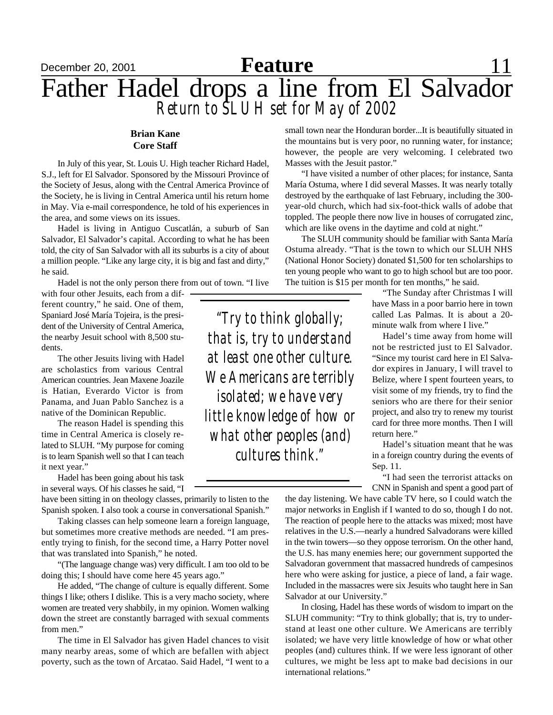## December 20, 2001 **Feature** 11 Father Hadel drops a line from El Salvador *Return to SLUH set for May of 2002* **Feature**

### **Brian Kane Core Staff**

In July of this year, St. Louis U. High teacher Richard Hadel, S.J., left for El Salvador. Sponsored by the Missouri Province of the Society of Jesus, along with the Central America Province of the Society, he is living in Central America until his return home in May. Via e-mail correspondence, he told of his experiences in the area, and some views on its issues.

Hadel is living in Antiguo Cuscatlán, a suburb of San Salvador, El Salvador's capital. According to what he has been told, the city of San Salvador with all its suburbs is a city of about a million people. "Like any large city, it is big and fast and dirty," he said.

Hadel is not the only person there from out of town. "I live

with four other Jesuits, each from a different country," he said. One of them, Spaniard José María Tojeira, is the president of the University of Central America, the nearby Jesuit school with 8,500 students.

The other Jesuits living with Hadel are scholastics from various Central American countries. Jean Maxene Joazile is Hatian, Everardo Victor is from Panama, and Juan Pablo Sanchez is a native of the Dominican Republic.

The reason Hadel is spending this time in Central America is closely related to SLUH. "My purpose for coming is to learn Spanish well so that I can teach it next year."

Hadel has been going about his task in several ways. Of his classes he said, "I

have been sitting in on theology classes, primarily to listen to the Spanish spoken. I also took a course in conversational Spanish."

Taking classes can help someone learn a foreign language, but sometimes more creative methods are needed. "I am presently trying to finish, for the second time, a Harry Potter novel that was translated into Spanish," he noted.

"(The language change was) very difficult. I am too old to be doing this; I should have come here 45 years ago."

He added, "The change of culture is equally different. Some things I like; others I dislike. This is a very macho society, where women are treated very shabbily, in my opinion. Women walking down the street are constantly barraged with sexual comments from men."

The time in El Salvador has given Hadel chances to visit many nearby areas, some of which are befallen with abject poverty, such as the town of Arcatao. Said Hadel, "I went to a

small town near the Honduran border...It is beautifully situated in the mountains but is very poor, no running water, for instance; however, the people are very welcoming. I celebrated two Masses with the Jesuit pastor."

"I have visited a number of other places; for instance, Santa María Ostuma, where I did several Masses. It was nearly totally destroyed by the earthquake of last February, including the 300 year-old church, which had six-foot-thick walls of adobe that toppled. The people there now live in houses of corrugated zinc, which are like ovens in the daytime and cold at night."

The SLUH community should be familiar with Santa María Ostuma already. "That is the town to which our SLUH NHS (National Honor Society) donated \$1,500 for ten scholarships to ten young people who want to go to high school but are too poor. The tuition is \$15 per month for ten months," he said.

> "The Sunday after Christmas I will have Mass in a poor barrio here in town called Las Palmas. It is about a 20 minute walk from where I live."

> Hadel's time away from home will not be restricted just to El Salvador. "Since my tourist card here in El Salvador expires in January, I will travel to Belize, where I spent fourteen years, to visit some of my friends, try to find the seniors who are there for their senior project, and also try to renew my tourist card for three more months. Then I will return here."

> Hadel's situation meant that he was in a foreign country during the events of Sep. 11.

> "I had seen the terrorist attacks on CNN in Spanish and spent a good part of

the day listening. We have cable TV here, so I could watch the major networks in English if I wanted to do so, though I do not. The reaction of people here to the attacks was mixed; most have relatives in the U.S.—nearly a hundred Salvadorans were killed in the twin towers—so they oppose terrorism. On the other hand, the U.S. has many enemies here; our government supported the Salvadoran government that massacred hundreds of campesinos here who were asking for justice, a piece of land, a fair wage. Included in the massacres were six Jesuits who taught here in San Salvador at our University."

In closing, Hadel has these words of wisdom to impart on the SLUH community: "Try to think globally; that is, try to understand at least one other culture. We Americans are terribly isolated; we have very little knowledge of how or what other peoples (and) cultures think. If we were less ignorant of other cultures, we might be less apt to make bad decisions in our international relations."

*"Try to think globally; that is, try to understand at least one other culture. We Americans are terribly isolated; we have very little knowledge of how or what other peoples (and) cultures think."*